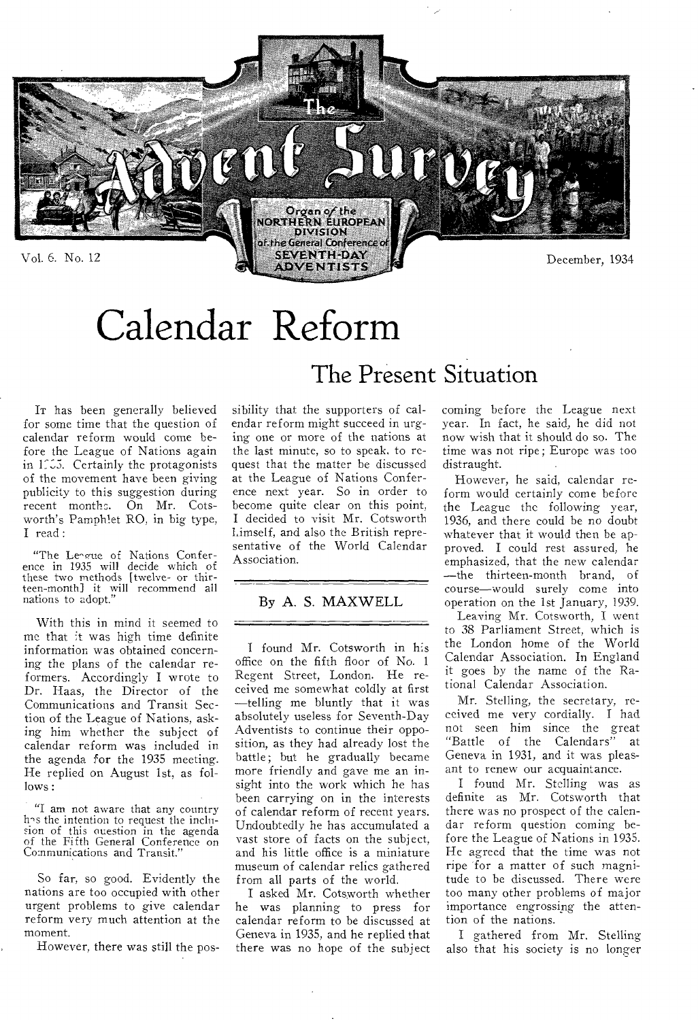

# Calendar Reform

IT has been generally believed for some time that the question of calendar reform would come before the League of Nations again in 1115. Certainly the protagonists of the movement have been giving publicity to this suggestion during recent months. On Mr. Cotsworth's Pamphlet RO, in big type, I read :

"The League of Nations Conference in 1935 will decide which of these two methods [twelve- or thirteen-month] it will recommend all nations to adopt."

With this in mind it seemed to me that it was high time definite information was obtained concerning the plans of the calendar reformers. Accordingly I wrote to Dr. Haas, the Director of the Communications and Transit Section of the League of Nations, asking him whether the subject of calendar reform was included in the agenda for the 1935 meeting. He replied on August 1st, as follows :

"I am not aware that any country h's the intention to request the inclusion of this ouestion in the agenda of the Fifth General Conference on Co:nmunications and Transit."

So far, so good. Evidently the nations are too occupied with other urgent problems to give calendar reform very much attention at the moment.

However, there was still the pos-

# The Present Situation

sibility that the supporters of calendar reform might succeed in urging one or more of the nations at the last minute, so to speak, to request that the matter be discussed at the League of Nations Conference next year. So in order to become quite clear on this point, I decided to visit Mr. Cotsworth himself, and also the British representative of the World Calendar Association.

### By A. S. MAXWELL

I found Mr. Cotsworth in his office on the fifth floor of No. 1 Regent Street, London. He received me somewhat coldly at first —telling me bluntly that it was absolutely useless for Seventh-Day Adventists to continue their opposition, as they had already lost the battle; but he gradually became more friendly and gave me an insight into the work which he has been carrying on in the interests of calendar reform of recent years. Undoubtedly he has accumulated a vast store of facts on the subject, and his little office is a miniature museum of calendar relics gathered from all parts of the world.

I asked Mr. Cotsworth whether he was planning to press for calendar reform to be discussed at Geneva in 1935, and he replied that there was no hope of the subject coming before the League next year. In fact, he said, he did not now wish that it should do so. The time was not ripe; Europe was too distraught.

However, he said, calendar reform would certainly come before the League the following year, 1936, and there could be no doubt whatever that it would then be approved. I could rest assured, he emphasized, that the new calendar —the thirteen-month brand, of course—would surely come into operation on the 1st January, 1939.

Leaving Mr. Cotsworth, I went to 38 Parliament Street, which is the London home of the World Calendar Association. In England it goes by the name of the Rational Calendar Association.

Mr. Stelling, the secretary, received me very cordially. I had not seen him since the great "Battle of the Calendars" at Geneva in 1931, and it was pleasant to renew our acquaintance.

I found Mr. Stelling was as definite as Mr. Cotsworth that there was no prospect of the calendar reform question coming before the League of Nations in 1935. He agreed that the time was not ripe for a matter of such magnitude to be discussed. There were too many other problems of major importance engrossing the attention of the nations.

I gathered from Mr. Stelling also that his society is no longer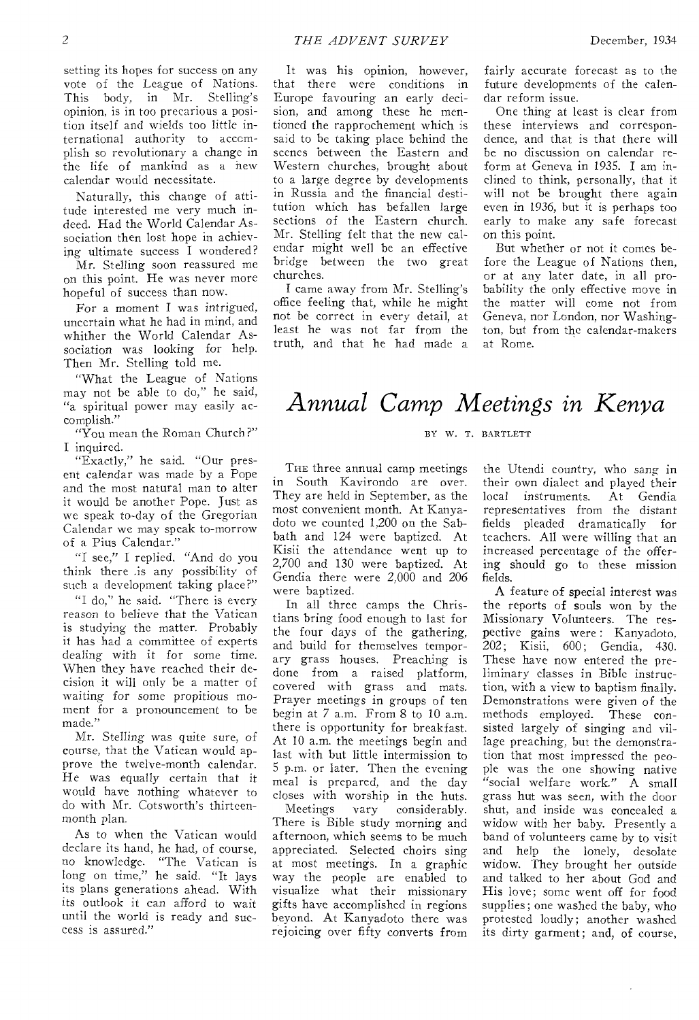setting its hopes for success on any vote of the League of Nations. This body, in Mr. Stelling's opinion, is in too precarious a position itself and wields too little international authority to accomplish so revolutionary a change in the life of mankind as a new calendar would necessitate.

Naturally, this change of attitude interested me very much indeed. Had the World Calendar Association then lost hope in achieving ultimate success I wondered?

Mr. Stelling soon reassured me on this point. He was never more hopeful of success than now.

For a moment I was intrigued, uncertain what he had in mind, and whither the World Calendar Association was looking for help. Then Mr. Stelling told me.

"What the League of Nations may not be able to do," he said, "a spiritual power may easily accomplish."

"You mean the Roman Church ?" I inquired.

"Exactly," he said. "Our present calendar was made by a Pope and the most natural man to alter it would be another Pope. Just as we speak to-day of the Gregorian Calendar we may speak to-morrow of a Pius Calendar."

"I see," I replied, "And do you think there .is any possibility of such a development taking place?"

"I do," he said. "There is every reason to believe that the Vatican is studying the matter. Probably it has had a committee of experts dealing with it for some time. When they have reached their decision it will only be a matter of waiting for some propitious moment for a pronouncement to be made."

Mr. Stelling was quite sure, of course, that the Vatican would approve the twelve-month calendar. He was equally certain that it would have nothing whatever to do with Mr. Cotsworth's thirteenmonth plan.

As to when the Vatican would declare its hand, he had, of course, no knowledge. "The Vatican is long on time," he said. "It lays its plans generations ahead. With its outlook it can afford to wait until the world is ready and success is assured."

It was his opinion, however, that there were conditions in Europe favouring an early decision, and among these he mentioned the rapprochement which is said to be taking place behind the scenes between the Eastern and Western churches, brought about to a large degree by developments in Russia and the financial destitution which has befallen large sections of the Eastern church. Mr. Stelling felt that the new calendar might well be an effective bridge between the two great churches.

I came away from Mr. Stelling's office feeling that, while he might not be correct in every detail, at least he was not far from the truth, and that he had made a

fairly accurate forecast as to the future developments of the calendar reform issue.

One thing at least is clear from these interviews and correspondence, and that is that there will be no discussion on calendar reform at Geneva in 1935. I am inclined to think, personally, that it will not be brought there again even in 1936, but it is perhaps too early to make any safe forecast on this point.

But whether or not it comes before the League of Nations then, or at any later date, in all probability the only effective move in the matter will come not from Geneva, nor London, nor Washington, but from the calendar-makers at Rome.

# *Annual Camp Meetings in Kenya*

BY W. T. BARTLETT

THE three annual camp meetings in South Kavirondo are over. They are held in September, as the most convenient month. At Kanyadoto we counted 1,200 on the Sabbath and 124 were baptized. At Kisii the attendance went up to 2,700 and 130 were baptized. At Gendia there were 2,000 and 206 were baptized.

In all three camps the Christians bring food enough to last for the four days of the gathering, and build for themselves temporary grass houses. Preaching is done from a raised platform, covered with grass and mats. Prayer meetings in groups of ten begin at 7 a.m. From 8 to 10 a.m. there is opportunity for breakfast. At 10 a.m. the meetings begin and last with but little intermission to 5 p.m. or later. Then the evening meal is prepared, and the day closes with worship in the huts.<br>Meetings vary considerably. vary considerably. There is Bible study morning and afternoon, which seems to be much appreciated. Selected choirs sing at most meetings. In a graphic way the people are enabled to visualize what their missionary gifts have accomplished in regions beyond. At Kanyadoto there was rejoicing over fifty converts from

the Utendi country, who sang in their own dialect and played their local instruments. At Gendia representatives from the distant fields pleaded dramatically for teachers. All were willing that an increased percentage of the offering should go to these mission fields.

A feature of special interest was the reports of souls won by the Missionary Volunteers. The respective gains were: Kanyadoto, 202; Kisii, 600; Gendia, 430. These have now entered the preliminary classes in Bible instruction, with a view to baptism finally. Demonstrations were given of the methods employed. These consisted largely of singing and village preaching, but the demonstration that most impressed the people was the one showing native "social welfare work." A small grass hut was seen, with the door shut, and inside was concealed a widow with her baby. Presently a band of volunteers came by to visit and help the lonely, desolate widow. They brought her outside and talked to her about God and His love; some went off for food supplies; one washed the baby, who protested loudly; another washed its dirty garment; and, of course,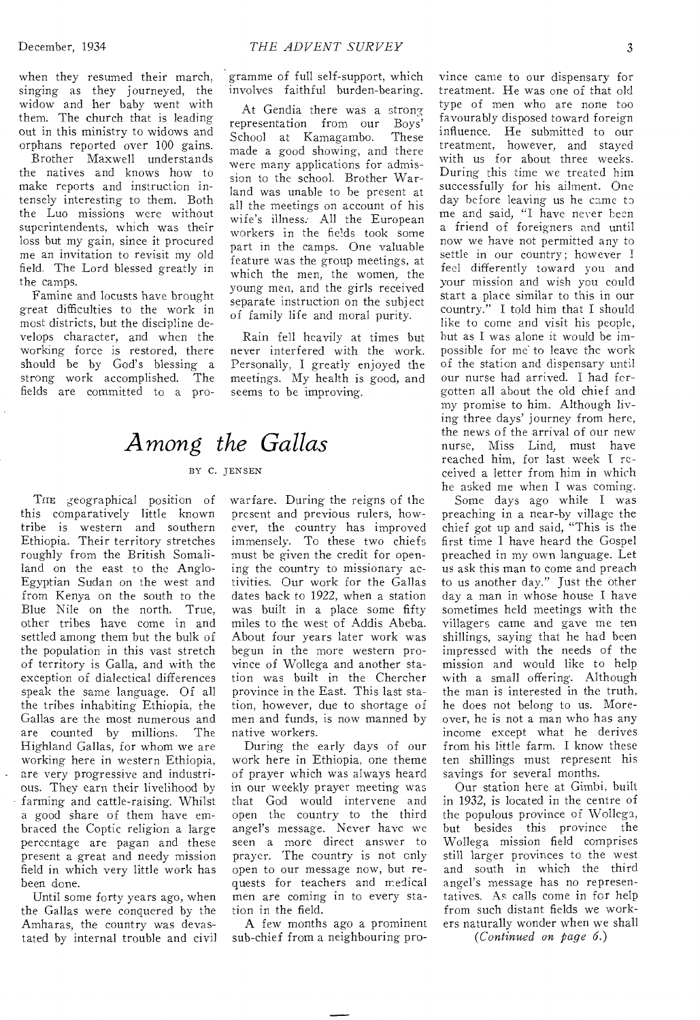when they resumed their march, singing as they journeyed, the widow and her baby went with them. The church that is leading out in this ministry to widows and orphans reported over 100 gains.

Brother Maxwell understands the natives and knows how to make reports and instruction intensely interesting to them. Both the Luo missions were without superintendents, which was their loss but my gain, since it procured me an invitation to revisit my old field. The Lord blessed greatly in the camps.

Famine and locusts have brought great difficulties to the work in most districts, but the discipline develops character, and when the working force is restored, there should be by God's blessing a strong work accomplished. The fields are committed to a programme of full self-support, which involves faithful burden-bearing.

At Gendia there was a strong representation from our Boys'<br>School at Kamagambo. These School at Kamagambo. made a good showing, and there were many applications for admission to the school. Brother Warland was unable to he present at all the meetings on account of his wife's illness: All the European workers in the fields took some part in the camps. One valuable feature was the group meetings, at which the men, the women, the young men, and the girls received separate instruction on the subject of family life and moral purity.

Rain fell heavily at times but never interfered with the work. Personally, I greatly enjoyed the meetings. My health is good, and seems to be improving.

# *Among the Gallas*

#### BY C. JENSEN

THE geographical position of this comparatively little known tribe is western and southern Ethiopia. Their territory stretches roughly from the British Somaliland on the east to the Anglo-Egyptian Sudan on the west and from Kenya on the south to the Blue Nile on the north. True, other tribes have come in and settled among them but the bulk of the population in this vast stretch of territory is Galla, and with the exception of dialectical differences speak the same language. Of all the tribes inhabiting Ethiopia, the Gallas are the most numerous and are counted by millions. The Highland Gallas, for whom we are working here in western Ethiopia, are very progressive and industrious. They earn their livelihood by farming and cattle-raising. Whilst a good share of them have embraced the Coptic religion a large percentage are pagan and these present a great and needy mission field in which very little work has been done.

Until some forty years ago, when the Gallas were conquered by the Amharas, the country was devastated by internal trouble and civil warfare. During the reigns of the present and previous rulers, however, the country has improved immensely. To these two chiefs must be given the credit for opening the country to missionary activities. Our work for the Gallas dates back to 1922, when a station was built in a place some fifty miles to the west of Addis Abeba. About four years later work was begun in the more western province of Wollega and another station was built in the Chercher province in the East. This last station, however, due to shortage of men and funds, is now manned by native workers.

During the early days of our work here in Ethiopia, one theme of prayer which was always heard in our weekly prayer meeting was that God would intervene and open the country to the third angel's message. Never have we seen a more direct answer to prayer. The country is not only open to our message now, but requests for teachers and medical men are coming in to every station in the field.

A few months ago a prominent sub-chief from a neighbouring province came to our dispensary for treatment. He was one of that old type of men who are none too favourably disposed toward foreign influence. He submitted to our treatment, however, and stayed with us for about three weeks. During this time we treated him successfully for his ailment. One day before leaving us he came to me and said, "I have never been a friend of foreigners and until now we have not permitted any to settle in our country; however I feel differently toward you and your mission and wish you could start a place similar to this in our country." I told him that I should like to come and visit his people, but as I was alone it would be impossible for me to leave the work of the station and dispensary until our nurse had arrived. I had forgotten all about the old chief and my promise to him. Although living three days' journey from here, the news of the arrival of our new nurse, Miss Lind, must have reached him, for last week I received a letter from him in which he asked me when I was coming.

Some days ago while I was preaching in a near-by village the chief got up and said, "This is the first time I have heard the Gospel preached in my own language. Let us ask this man to come and preach to us another day." Just the other day a man in whose house I have sometimes held meetings with the villagers came and gave me ten shillings, saying that he had been impressed with the needs of the mission and would like to help with a small offering. Although the man is interested in the truth, he does not belong to us. Moreover, he is not a man who has any income except what he derives from his little farm. I know these ten shillings must represent his savings for several months.

Our station here at Gimbi, built in 1932, is located in the centre of the populous province of Wollega, but besides this province the Wollega mission field comprises still larger provinces to the west and south in which the third angel's message has no representatives. As calls come in for help from such distant fields we workers naturally wonder when we shall

*(Continued on page 6.)*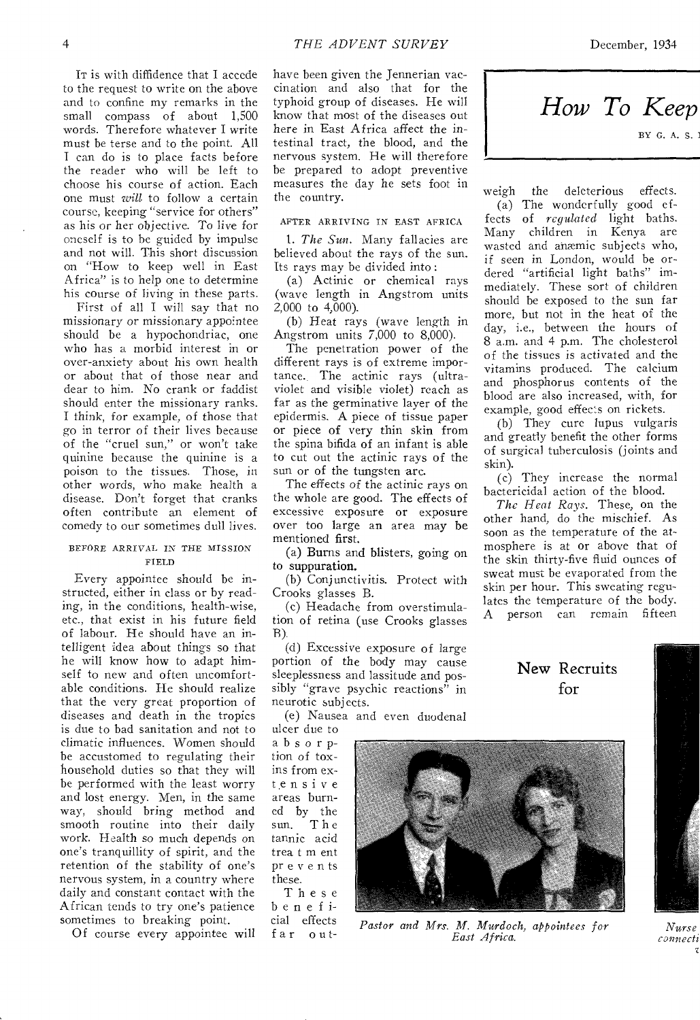IT is with diffidence that I accede to the request to write on the above and to confine my remarks in the small compass of about 1,500 words. Therefore whatever I write must be terse and to the point. All I can do is to place facts before the reader who will be left to choose his course of action. Each one must *will* to follow a certain course, keeping "service for others" as his or her objective. To live for oneself is to be guided by impulse and not will. This short discussion on "How to keep well in East Africa" is to help one to determine his course of living in these parts.

First of all I will say that no missionary or missionary appointee should be a hypochondriac, one who has a morbid interest in or over-anxiety about his own health or about that of those near and dear to him. No crank or faddist should enter the missionary ranks. I think, for example, of those that go in terror of their lives because of the "cruel sun," or won't take quinine because the quinine is a poison to the tissues. Those, in other words, who make health a disease. Don't forget that cranks often contribute an element of comedy to our sometimes dull lives.

#### BEFORE ARRIVAL IN THE MISSION FIELD

Every appointee should be instructed, either in class or by reading, in the conditions, health-wise, etc., that exist in his future field of labour. He should have an intelligent idea about things so that he will know how to adapt himself to new and often uncomfortable conditions. He should realize that the very great proportion of diseases and death in the tropics is due to bad sanitation and not to climatic influences. Women should be accustomed to regulating their household duties so that they will be performed with the least worry and lost energy. Men, in the same way, should bring method and smooth routine into their daily work. Health so much depends on one's tranquillity of spirit, and the retention of the stability of one's nervous system, in a country where daily and constant contact with the African tends to try one's patience sometimes to breaking point.

Of course every appointee will

have been given the Jennerian vaccination and also that for the typhoid group of diseases. He will know that most of the diseases out here in East Africa affect the intestinal tract, the blood, and the nervous system. He will therefore be prepared to adopt preventive measures the day he sets foot in the country.

#### AFTER ARRIVING IN EAST AFRICA

*1. The Sun.* Many fallacies are believed about the rays of the sun. Its rays may be divided into:

(a) Actinic or chemical rays (wave length in Angstrom units  $2,000$  to  $4,000$ ).

(b) Heat *rays* (wave length in Angstrom units 7,000 to 8,000).

The penetration power of the different rays is of extreme importance. The actinic rays (ultraviolet and visible violet) reach as far as the germinative layer of the epidermis. A piece of tissue paper or piece of very thin skin from the spina bifida of an infant is able to cut out the actinic rays of the sun or of the tungsten arc.

The effects of the actinic rays on the whole are good. The effects of excessive exposure or exposure over too large an area may be mentioned first.

(a) Burns and blisters, going on to suppuration.

(b) Conjunctivitis. Protect with Crooks glasses B.

(c) Headache from overstimulation of retina (use Crooks glasses B).

(d) Excessive exposure of large portion of the body may cause sleeplessness and lassitude and possibly "grave psychic reactions" in neurotic subjects.

(e) Nausea and even duodenal

ulcer due to absorption of toxins from extensive areas burned by the The tannic acid trea t m ent prevents these.

These beneficial effects far out-



weigh the deleterious effects.

(a) The wonderfully good effects of *regulated* light baths. Many children in Kenya are wasted and anemic subjects who, if seen in London, would be ordered "artificial light baths" immediately. These sort of children should be exposed to the sun far more, but not in the heat of the day, i.e., between the hours of 8 a.m. and 4 p.m. The cholesterol of the tissues *is* activated and the vitamins produced. The calcium and phosphorus contents of the blood are also increased, with, for example, good effects on rickets.

(b) They cure lupus vulgaris and greatly benefit the other forms of surgical tuberculosis (joints and skin).

(c) They increase the normal bactericidal action of the blood.

*The Heat Rays.* These, on the other hand, do the mischief. As soon as the temperature of the atmosphere is at or above that of the skin thirty-five fluid ounces of sweat must be evaporated from the skin per hour. This sweating regulates the temperature of the body. A person can remain fifteen

> New Recruits for



*Pastor and Mrs. M. Murdoch, appointees for East Africa.* 

*Nurse connecti*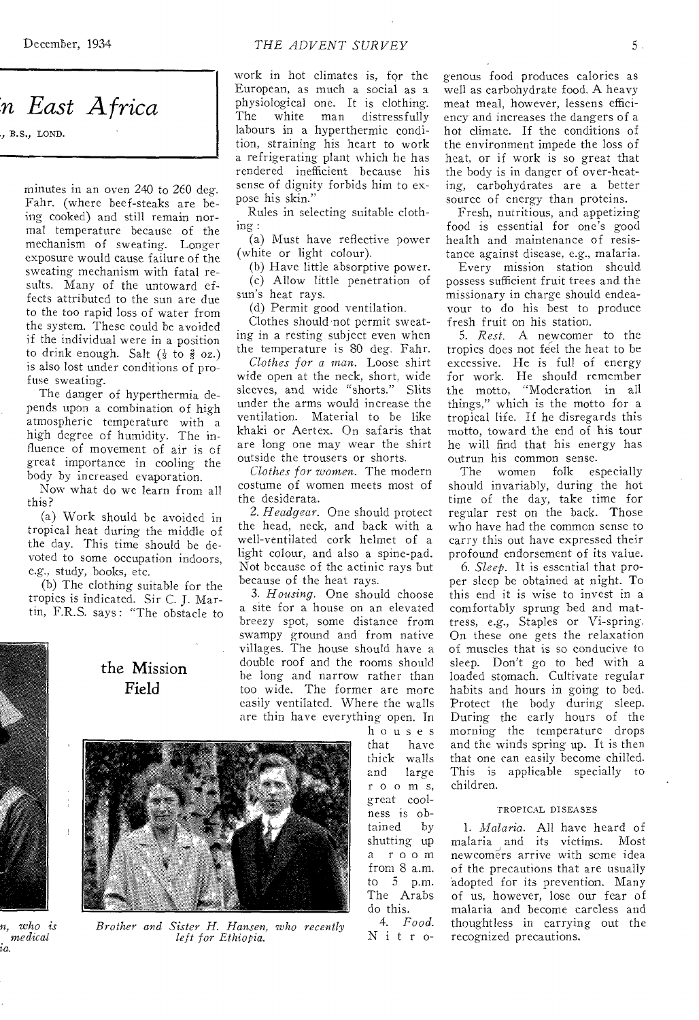# *'n East Africa*

., B.S., LOND.

minutes in an oven 240 to 260 deg. Fahr. (where beef-steaks are being cooked) and still remain normal temperature because of the mechanism of sweating. Longer exposure would cause failure of the sweating mechanism with fatal results. Many of the untoward effects attributed to the sun are due to the too rapid loss of water from the system. These could be avoided if the individual were in a position to drink enough. Salt  $(\frac{1}{3}$  to  $\frac{2}{3}$  oz.) is also lost under conditions of profuse sweating.

The danger of hyperthermia depends upon a combination of high atmospheric temperature with a high degree of humidity. The influence of movement of air is of great importance in cooling the body by increased evaporation.

Now what do we learn from all this?

(a) Work should be avoided in tropical heat during the middle of the day. This time should be devoted to some occupation indoors, e.g., study, books, etc.

(b) The clothing suitable for the tropics is indicated. Sir C. J. Martin, F.R.S. says : "The obstacle to

the Mission Field



*Brother and Sister H. Hansen, who recently left for Ethiopia.* 

work in hot climates is, for the European, as much a social as a physiological one. It is clothing.<br>The white man distressfully man distressfully labours in a hyperthermic condition, straining his heart to work a refrigerating plant which he has rendered inefficient because his sense of dignity forbids him to expose his skin.'

Rules in selecting suitable clothing :

(a) Must have reflective power (white or light colour).

(b) Have little absorptive power. (c) Allow little penetration of sun's heat rays.

(d) Permit good ventilation.

Clothes should not permit sweating in a resting subject even when the temperature is 80 deg. Fahr.

*Clothes for a man.* Loose shirt wide open at the neck, short, wide sleeves, and wide "shorts." Slits under the arms would increase the ventilation. Material to be like khaki or Aertex. On safaris that are long one may wear the shirt outside the trousers or shorts.

*Clothes for women.* The modern costume of women meets most of the desiderata.

*2. Headgear.* One should protect the head, neck, and back with a well-ventilated cork helmet of a light colour, and also a spine-pad. Not because of the actinic rays but because of the heat rays.

*3. Housing.* One should choose a site for a house on an elevated breezy spot, some distance from swampy ground and from native villages. The house should have a double roof and the rooms should be long and narrow rather than too wide. The former are more easily ventilated. Where the walls are thin have everything open. In

> houses have thick walls and large r o o m s, great coolness is obtained by shutting up a room from 8 a.m. to 5 p.m. The Arabs do this. 4. *Food.*  N i t r o

genous food produces calories as well as carbohydrate food. A heavy meat meal, however, lessens efficiency and increases the dangers of a hot climate. If the conditions of the environment impede the loss of heat, or if work is so great that the body is in danger of over-heating, carbohydrates are a better source of energy than proteins.

Fresh, nutritious, and appetizing food is essential for one's good health and maintenance of resistance against disease, e.g., malaria.

Every mission station should possess sufficient fruit trees and the missionary in charge should endeavour to do his best to produce fresh fruit on his station.

*5. Rest.* A newcomer to the tropics does not feel the heat to be excessive. He is full of energy for work. He should remember the motto, "Moderation in all things," which is the motto for a tropical life. If he disregards this motto, toward the end of his tour he will find that his energy has outrun his common sense.

The women folk especially should invariably, during the hot time of the day, take time for regular rest on the back. Those who have had the common sense to carry this out have expressed their profound endorsement of its value.

*6. Sleep.* It is essential that proper sleep be obtained at night. To this end it is wise to invest in a comfortably sprung bed and mattress, e.g., Staples or Vi-spring. On these one gets the relaxation of muscles that is so conducive to sleep. Don't go to bed with a loaded stomach. Cultivate regular habits and hours in going to bed. Protect the body during sleep. During the early hours of the morning the temperature drops and the winds spring up. It is then that one can easily become chilled. This is applicable specially to children.

#### TROPICAL DISEASES

*1. Malaria.* All have heard of malaria and its victims. Most newcomers arrive with some idea of the precautions that are usually adopted for its prevention. Many of us, however, lose our fear of malaria and become careless and thoughtless in carrying out the recognized precautions.

*n, who is medical ia.*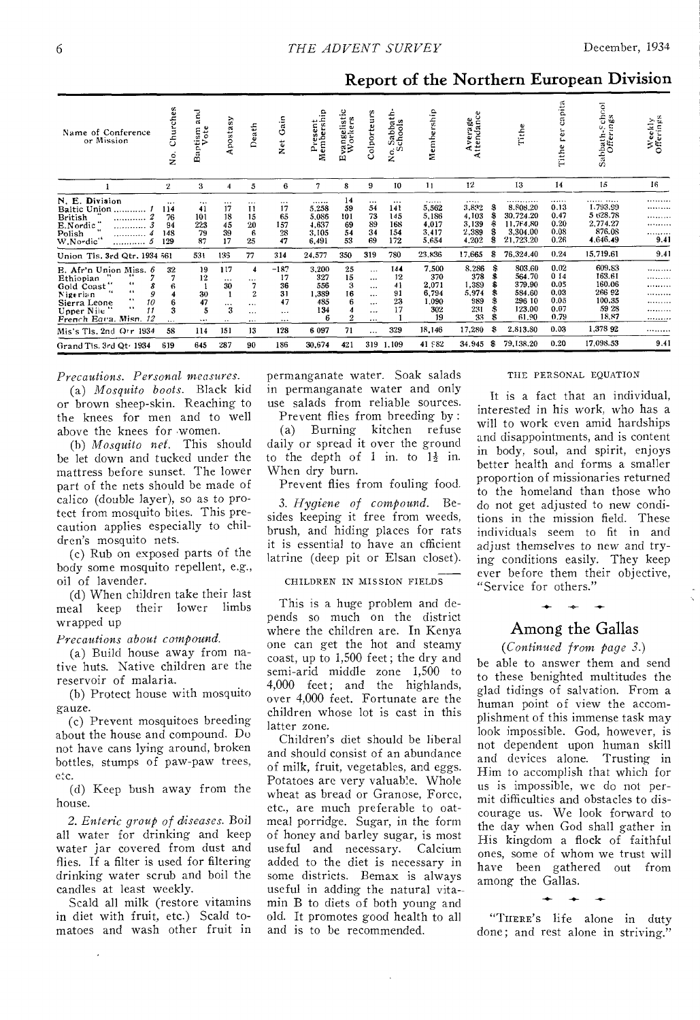# Report of the Northern European Division

| Name of Conference<br>or Mission                                                                                                                                                                    | Churches<br>.<br>ح                        | g<br>ote<br>$\lim_{\text{Voto}}$<br>ä<br>۵   | postasy                                                               | Death                                                             | ain<br>O<br>$\frac{1}{2}$                              | qir<br>€<br>Presen<br>Members<br>ρ,                        | vangelistic<br>Workers<br>ω         | olporteurs<br>Ö                                                                      | 문<br>Sabbat<br>chools<br>$\circ$ <sup>0</sup><br>ż | Membership                                                     | ttendance<br>verage<br>⋖<br>∢                                |                                     | Tithe                                                                         | capita<br>ω<br>Tithe                                        | chool<br>$n \mathbf{g} \mathbf{s}$<br>Sabbath-Sc<br>Offering                 | Weekly<br>Offerings                     |
|-----------------------------------------------------------------------------------------------------------------------------------------------------------------------------------------------------|-------------------------------------------|----------------------------------------------|-----------------------------------------------------------------------|-------------------------------------------------------------------|--------------------------------------------------------|------------------------------------------------------------|-------------------------------------|--------------------------------------------------------------------------------------|----------------------------------------------------|----------------------------------------------------------------|--------------------------------------------------------------|-------------------------------------|-------------------------------------------------------------------------------|-------------------------------------------------------------|------------------------------------------------------------------------------|-----------------------------------------|
|                                                                                                                                                                                                     | $\mathbf{2}$                              | 3                                            | 4                                                                     | 5                                                                 | 6                                                      | 7                                                          | 8                                   | 9                                                                                    | 10                                                 | 11                                                             | 12                                                           |                                     | 13                                                                            | 14                                                          | 15                                                                           | 16                                      |
| N. E. Division<br>Baltic Union<br><b>British</b><br><br>E.Nordic<br><br><br>W.Nordic"<br>                                                                                                           | $\cdots$<br>114<br>76<br>94<br>148<br>129 | $\cdots$<br>41<br>101<br>223<br>79<br>87     | $\cdots$<br>17<br>18<br>45<br>39<br>17                                | $\cdots$<br>11<br>15<br>20<br>6<br>25                             | $\cdots$<br>17<br>65<br>157<br>28<br>47                | <br>5.258<br>5,086<br>4,637<br>3.105<br>6,491              | 14<br>59<br>101<br>69<br>54<br>53   | $\cdots$<br>54<br>73<br>89<br>34<br>69                                               | $\cdots$<br>141<br>145<br>168<br>154<br>172        | <br>5,562<br>5,186<br>4,017<br>3,417<br>5,654                  | <br>3,832<br>4.103<br>3.139<br>2,389<br>4,202                | S<br>S<br>尜<br>٩<br>£.              | .<br>8.808.20<br>30.724.20<br>11.764.80<br>3,304.00<br>21,723.20              | <br>0.13<br>0.47<br>0.20<br>0.08<br>0.26                    | . <b>. .</b><br>1.793.99<br>5 628.78<br>2,774.27<br>876.08<br>4,646.49       | .<br><br>.<br>.<br>.<br>9.41            |
| Union Tis, 3rd Qtr, 1934 561                                                                                                                                                                        |                                           | 531                                          | 135                                                                   | 77                                                                | 314                                                    | 24,577                                                     | 350                                 | 319                                                                                  | 780                                                | 23,836                                                         | 17,665                                                       | S                                   | 76,324,40                                                                     | 0.24                                                        | 15,719.61                                                                    | 9.41                                    |
| E. Afr'n Union Miss. 6<br>Ethiopian<br>$\cdots$<br>Gold Coast<br>66<br>$^{16}$<br>S<br>Nigerian<br>10<br>Sierra Leone<br>66<br>11<br>Upper Nile<br>French Equa. Misn. 12<br>Mis's Tls. 2nd Orr 1934 | 32<br>6<br>3<br>$\cdots$<br>58            | 19<br>12<br>30<br>47<br>5<br>$\cdots$<br>114 | 117<br>$\cdots$<br>30<br>$\cdots$<br>3<br>$\ddot{\phantom{0}}$<br>151 | 4<br><br>$\overline{2}$<br>$\cdots$<br>$\cdots$<br>$\cdots$<br>13 | $-187$<br>17<br>36<br>31<br>47<br>$\ddotsc$<br><br>128 | 3.200<br>327<br>556<br>1,389<br>485<br>134<br>6<br>6 0 9 7 | 25<br>15<br>3<br>16<br>6<br>o<br>71 | $\cdots$<br>$\cdots$<br>$\cdots$<br>$\cdots$<br><br>$\cdots$<br>$\cdots$<br>$\cdots$ | 144<br>12<br>41<br>91<br>23<br>17<br>329           | 7.500<br>370<br>2.071<br>6,794<br>1.090<br>302<br>19<br>18,146 | 8.286<br>378<br>1,389<br>5,974<br>989<br>231<br>33<br>17,280 | s<br>\$<br>8<br>\$<br>5<br>\$<br>Ś. | 803.60<br>564.70<br>379.90<br>584.60<br>296 10<br>123.00<br>61.90<br>2.813.80 | 0.02<br>014<br>0.05<br>0.03<br>0.05<br>0.07<br>0.79<br>0.03 | 609.83<br>163.61<br>160.06<br>266 92<br>100.35<br>59 28<br>18,87<br>1,378 92 | .<br><br>.<br><br>.<br><br><b></b><br>. |
| Grand Tis. 3rd Qt: 1934                                                                                                                                                                             | 619                                       | 645                                          | 287                                                                   | 90                                                                | 186                                                    | 30.674                                                     | 421                                 | 319                                                                                  | 1,109                                              | 41,582                                                         | 34.945                                                       | S                                   | 79.138.20                                                                     | 0.20                                                        | 17,098.53                                                                    | 9.41                                    |

### *Precautions. Personal measures.*

(a) *Mosquito boots.* Black kid or brown sheep-skin. Reaching to the knees for men and to well above the knees for women.

(h) *Mosquito net.* This should be let down and tucked under the mattress before sunset. The lower part of the nets should be made of calico (double layer), so as to protect from mosquito bites. This precaution applies especially to children's mosquito nets.

(c) Rub on exposed parts of the body some mosquito repellent, e.g., oil of lavender.

(d) When children take their last<br>meal keep their lower limbs their lower limbs wrapped up

*Precautions about compound.* 

(a) Build house away from native huts. Native children are the reservoir of malaria.

(b) Protect house with mosquito gauze.

(c) Prevent mosquitoes breeding about the house and compound. Do not have cans lying around, broken bottles, stumps of paw-paw trees, etc.

(d) Keep bush away from the house.

*2. Enteric group of diseases.* Boil all water for drinking and keep water jar covered from dust and flies. If a filter is used for filtering drinking water scrub and boil the candles at least weekly.

Scald all milk (restore vitamins in diet with fruit, etc.) Scald tomatoes and wash other fruit in

 $\overline{\phantom{a}}$ 

permanganate water. Soak salads in permanganate water and only use salads from reliable sources.

Prevent flies from breeding by : (a) Burning kitchen refuse daily or spread it over the ground to the depth of 1 in. to  $1\frac{1}{2}$  in. When dry burn.

Prevent flies from fouling food.

3. *Hygiene of compound.* Besides keeping it free from weeds, brush, and hiding places for rats it is essential to have an efficient latrine (deep pit or Elsan closet).

CHILDREN IN MISSION FIELDS

This is a huge problem and depends so much on the district where the children are. In Kenya one can get the hot and steamy coast, up to 1,500 feet; the dry and semi-arid middle zone 1,500 to 4,000 feet; and the highlands, over 4,000 feet. Fortunate are the children whose lot is cast in this latter zone.

Children's diet should be liberal and should consist of an abundance of milk, fruit, vegetables, and eggs. Potatoes are very valuable. Whole wheat as bread or Granose, Force, etc., are much preferable to oatmeal porridge. Sugar, in the form of honey and barley sugar, is most useful and necessary. Calcium added to the diet is necessary in some districts. Bemax is always useful in adding the natural vita- min B to diets of both young and old. It promotes good health to all and is to be recommended.

#### THE PERSONAL EQUATION

It is a fact that an individual, *interested* in his work, who has a will to work even amid hardships and disappointments, and is content in body, soul, and spirit, enjoys better health and forms a smaller proportion of missionaries returned to the homeland than those who do not get adjusted to new conditions in the mission field. These individuals seem to fit in and adjust themselves to new and trying conditions easily. They keep ever before them their objective, "Service for others."

## Among the Gallas

*(Continued from page 3.)* 

be able to answer them and send to these benighted multitudes the glad tidings of salvation. From a human point of view the accomplishment of this immense task may look impossible. God, however, is not dependent upon human skill and devices alone. Trusting in Him to accomplish that which for us is impossible, we do not permit difficulties and obstacles to discourage us. We look forward to the day when God shall gather in His kingdom a flock of faithful ones, some of whom we trust will have been gathered out from among the Gallas.

**-0-**  "THERE'S life alone in duty done; and rest alone in striving.'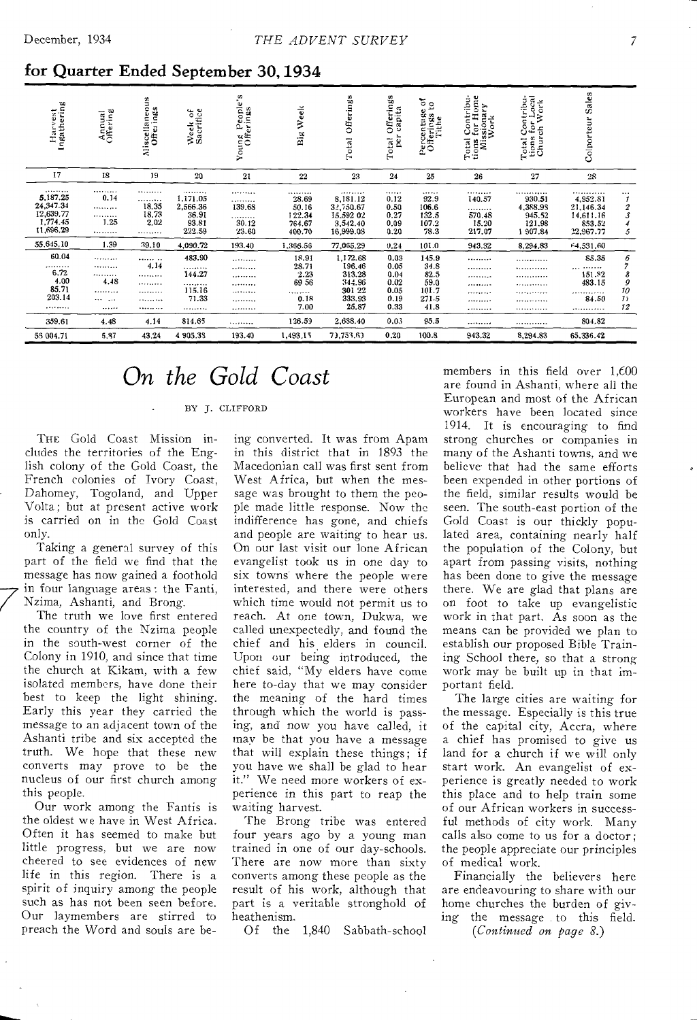### for Quarter Ended September 30, 1934

| Harvest<br>Ingathering                                          | Annual<br>Offering           | neous<br>Miscellaneou<br>Ofterings | Week of<br>Sacrifice                                 | People's<br>erings<br>Young<br>Offe    | Week<br>Big                                          | Offerings<br>Total                                                        | Offerings<br>capita<br>per<br>Total                  | $\frac{5}{2}$<br>Percentuge<br>Offerings<br>Tithe       | Total Contribu-<br>tions for Home<br>Missionary<br>Work | Contribu-<br>i for Local<br>ch Work<br>Total Co<br>tions for<br>Church | Sales<br>Colporteur                                           |                                                |
|-----------------------------------------------------------------|------------------------------|------------------------------------|------------------------------------------------------|----------------------------------------|------------------------------------------------------|---------------------------------------------------------------------------|------------------------------------------------------|---------------------------------------------------------|---------------------------------------------------------|------------------------------------------------------------------------|---------------------------------------------------------------|------------------------------------------------|
| 17                                                              | 18                           | 19                                 | 20                                                   | 21                                     | 22                                                   | 23                                                                        | 24                                                   | 25                                                      | 26                                                      | 27                                                                     | 28                                                            |                                                |
| <br>5,187.25<br>24,347.34<br>12,639.77<br>1,774.45<br>11,696.29 | <br>0.14<br><br><br>1.25<br> | <br><br>18.35<br>18.73<br>2.02<br> | <br>1,171,05<br>2,566.36<br>36.91<br>93.81<br>222.59 | <br>.<br>139.68<br>.<br>30.12<br>23.60 | .<br>28.69<br>50.16<br>122.34<br>764.67<br>400.70    | . <i>.</i><br>8,181.12<br>32,750.67<br>15,592 02<br>3,542.40<br>16,999.08 | <br>0.12<br>0.50<br>0.27<br>0.09<br>0.20             | <br>92.9<br>106.6<br>132.5<br>107.2<br>78.3             | <br>140.57<br>.<br>570.48<br>15.20<br>217.07            | <i></i><br>930.51<br>4,388.98<br>945.52<br>121.98<br>1907.84           | <br>4,952.81<br>21.146.34<br>14,611.16<br>853.52<br>22,967.77 | $\cdots$<br>$\mathcal I$<br>$\frac{2}{3}$<br>5 |
| 55,645.10                                                       | 1.39                         | 39.10                              | 4,090.72                                             | 193.40                                 | 1,366.56                                             | 77,065.29                                                                 | 0.24                                                 | 101.0                                                   | 943.32                                                  | 8.294.83                                                               | 64,531.60                                                     |                                                |
| 60.04<br><br>6.72<br>4.00<br>85.71<br>203.14<br>                | <br><br><br>4.48<br><br><br> | <br>4.14<br><br><br><br><br>       | 483.90<br>.<br>144.27<br><br>115.16<br>71.33<br>     | <br><br><br><br><br><br>               | 18.91<br>28.71<br>2.23<br>69 56<br>.<br>0.18<br>7.00 | 1,172.68<br>196.46<br>313.28<br>344.96<br>301 22<br>333.93<br>25.87       | 0.03<br>0.05<br>0.04<br>0.02<br>0.05<br>0.19<br>0.33 | 145.9<br>34.8<br>82.5<br>59.0<br>101.7<br>271.5<br>41.8 | <br><br><br><br><br><br>                                | <br><br>.<br>.<br>.<br><br>                                            | 85.35<br><br>151.82<br>483.15<br><br>84.50<br>                | 6<br>8<br>9<br>10<br>$\mathcal{I}$<br>12       |
| 359.61                                                          | 4.48                         | 4.14                               | 814.65                                               | .                                      | 126.59                                               | 2,688.40                                                                  | 0.03                                                 | 95.5                                                    |                                                         |                                                                        | 804.82                                                        |                                                |
| 55 004.71                                                       | 5,87                         | 43.24                              | 4 905.38                                             | 193.40                                 | 1,493.15                                             | 73,753.63                                                                 | 0.20                                                 | 100.8                                                   | 943.32                                                  | 8.294.83                                                               | 65.336.42                                                     |                                                |

# *On the Gold Coast*

BY J. CLIFFORD

The Gold Coast Mission includes the territories of the English colony of the Gold Coast, the French colonies of Ivory Coast, Dahomey, Togoland, and Upper Volta; but at present active work is carried on in the Gold Coast only.

Taking a general survey of this part of the field we find that the message has now gained a foothold in four language areas : the Fanti, Nzima, Ashanti, and Brong.

The truth we love first entered the country of the Nzima people in the south-west corner of the Colony in 1910, and since that time the church at Kikam, with a few isolated members, have done their best to keep the light shining. Early this year they carried the message to an adjacent town of the Ashanti tribe and six accepted the truth. We hope that these new converts may prove to be the nucleus of our first church among this people.

Our work among the Fantis is the oldest we have in West Africa. Often it has seemed to make but little progress, but we are now cheered to see evidences of new life in this region. There is a spirit of inquiry among the people such as has not been seen before. Our laymembers are stirred to preach the Word and souls are be-

ing converted. It was from Apam in this district that in 1893 the Macedonian call was first sent from West Africa, but when the message was brought to them the people made little response. Now the indifference has gone, and chiefs and people are waiting to hear us. On our last visit our lone African evangelist took us in one day to six towns where the people were interested, and there were others which time would not permit us to reach. At one town, Dukwa, we called unexpectedly, and found the chief and his.elders in council. Upon our being introduced, the chief said, "My elders have come here to-day that we may consider the meaning of the hard times through which the world is passing, and now you have called, it may be that you have a message that will explain these things; if you have we shall be glad to hear it." We need more workers of experience in this part to reap the waiting harvest.

The Brong tribe was entered four years ago by a young man trained in one of our day-schools. There are now more than sixty converts among these people as the result of his work, although that part is a veritable stronghold of heathenism.

Of the 1,840 Sabbath-school

members in this field over 1,600 are found in Ashanti, where all the European and most of the African workers have been located since 1914. It is encouraging to find strong churches or companies in many of the Ashanti towns, and we believe. that had the same efforts been expended in other portions of the field, similar results would be seen. The south-east portion of the Gold Coast is our thickly populated area, containing nearly half the population of the Colony, but apart from passing visits, nothing has been done to give the message there. We are glad that plans are on foot to take up evangelistic work in that part. As soon as the means can be provided we plan to establish our proposed Bible Training School there, so that a strong work may be built up in that important field.

The large cities are waiting for the message. Especially is this true of the capital city, Accra, where a chief has promised to give us land for a church if we will only start work. An evangelist of experience is greatly needed to work this place and to help train some of our African workers in successful methods of city work. Many calls also come to us for a doctor; the people appreciate our principles of medical work.

Financially the believers here are endeavouring to share with our home churches the burden of giving the message to this field.

*(Continued on page 8.)*